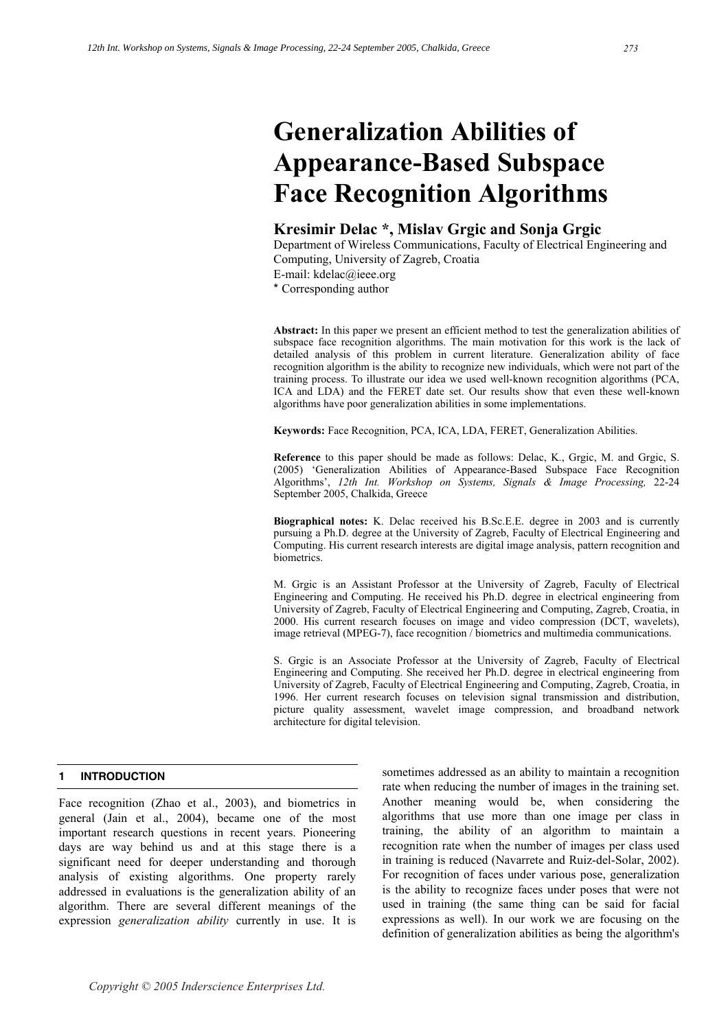# **Generalization Abilities of Appearance-Based Subspace Face Recognition Algorithms**

# **Kresimir Delac \*, Mislav Grgic and Sonja Grgic**

Department of Wireless Communications, Faculty of Electrical Engineering and Computing, University of Zagreb, Croatia

E-mail: kdelac@ieee.org

\* Corresponding author

**Abstract:** In this paper we present an efficient method to test the generalization abilities of subspace face recognition algorithms. The main motivation for this work is the lack of detailed analysis of this problem in current literature. Generalization ability of face recognition algorithm is the ability to recognize new individuals, which were not part of the training process. To illustrate our idea we used well-known recognition algorithms (PCA, ICA and LDA) and the FERET date set. Our results show that even these well-known algorithms have poor generalization abilities in some implementations.

**Keywords:** Face Recognition, PCA, ICA, LDA, FERET, Generalization Abilities.

**Reference** to this paper should be made as follows: Delac, K., Grgic, M. and Grgic, S. (2005) 'Generalization Abilities of Appearance-Based Subspace Face Recognition Algorithms', *12th Int. Workshop on Systems, Signals & Image Processing,* 22-24 September 2005, Chalkida, Greece

**Biographical notes:** K. Delac received his B.Sc.E.E. degree in 2003 and is currently pursuing a Ph.D. degree at the University of Zagreb, Faculty of Electrical Engineering and Computing. His current research interests are digital image analysis, pattern recognition and biometrics.

M. Grgic is an Assistant Professor at the University of Zagreb, Faculty of Electrical Engineering and Computing. He received his Ph.D. degree in electrical engineering from University of Zagreb, Faculty of Electrical Engineering and Computing, Zagreb, Croatia, in 2000. His current research focuses on image and video compression (DCT, wavelets), image retrieval (MPEG-7), face recognition / biometrics and multimedia communications.

S. Grgic is an Associate Professor at the University of Zagreb, Faculty of Electrical Engineering and Computing. She received her Ph.D. degree in electrical engineering from University of Zagreb, Faculty of Electrical Engineering and Computing, Zagreb, Croatia, in 1996. Her current research focuses on television signal transmission and distribution, picture quality assessment, wavelet image compression, and broadband network architecture for digital television.

## **1 INTRODUCTION**

Face recognition (Zhao et al., 2003), and biometrics in general (Jain et al., 2004), became one of the most important research questions in recent years. Pioneering days are way behind us and at this stage there is a significant need for deeper understanding and thorough analysis of existing algorithms. One property rarely addressed in evaluations is the generalization ability of an algorithm. There are several different meanings of the expression *generalization ability* currently in use. It is

sometimes addressed as an ability to maintain a recognition rate when reducing the number of images in the training set. Another meaning would be, when considering the algorithms that use more than one image per class in training, the ability of an algorithm to maintain a recognition rate when the number of images per class used in training is reduced (Navarrete and Ruiz-del-Solar, 2002). For recognition of faces under various pose, generalization is the ability to recognize faces under poses that were not used in training (the same thing can be said for facial expressions as well). In our work we are focusing on the definition of generalization abilities as being the algorithm's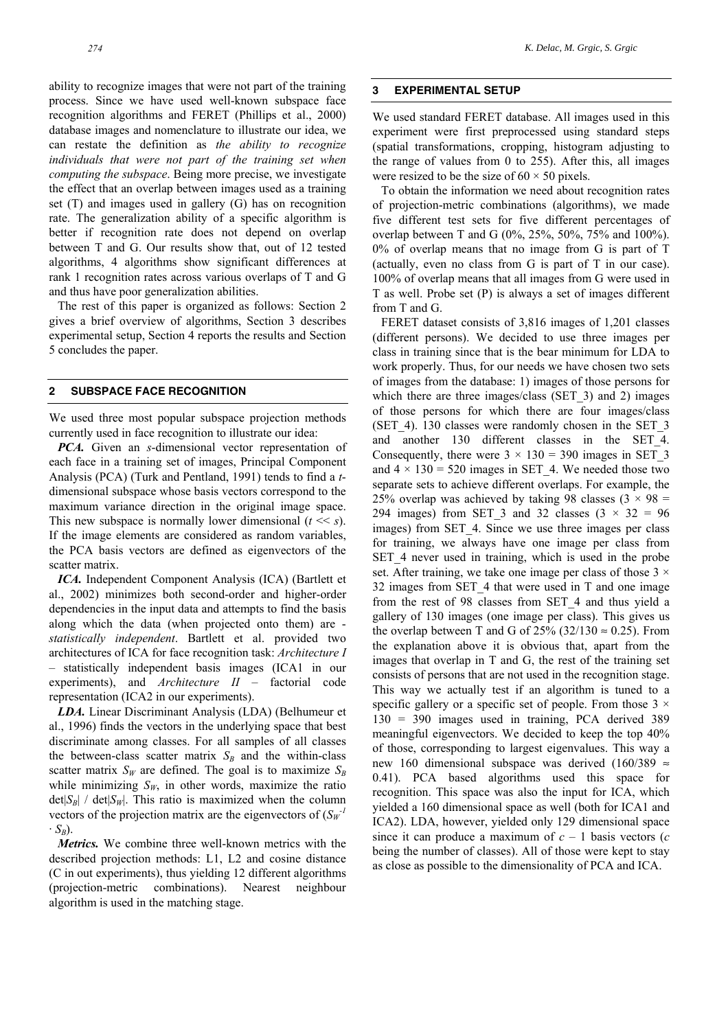ability to recognize images that were not part of the training process. Since we have used well-known subspace face recognition algorithms and FERET (Phillips et al., 2000) database images and nomenclature to illustrate our idea, we can restate the definition as *the ability to recognize individuals that were not part of the training set when computing the subspace*. Being more precise, we investigate the effect that an overlap between images used as a training set (T) and images used in gallery (G) has on recognition rate. The generalization ability of a specific algorithm is better if recognition rate does not depend on overlap between T and G. Our results show that, out of 12 tested algorithms, 4 algorithms show significant differences at rank 1 recognition rates across various overlaps of T and G and thus have poor generalization abilities.

The rest of this paper is organized as follows: Section 2 gives a brief overview of algorithms, Section 3 describes experimental setup, Section 4 reports the results and Section 5 concludes the paper.

#### **2 SUBSPACE FACE RECOGNITION**

We used three most popular subspace projection methods currently used in face recognition to illustrate our idea:

*PCA.* Given an *s*-dimensional vector representation of each face in a training set of images, Principal Component Analysis (PCA) (Turk and Pentland, 1991) tends to find a *t*dimensional subspace whose basis vectors correspond to the maximum variance direction in the original image space. This new subspace is normally lower dimensional  $(t \ll s)$ . If the image elements are considered as random variables, the PCA basis vectors are defined as eigenvectors of the scatter matrix.

*ICA.* Independent Component Analysis (ICA) (Bartlett et al., 2002) minimizes both second-order and higher-order dependencies in the input data and attempts to find the basis along which the data (when projected onto them) are *statistically independent*. Bartlett et al. provided two architectures of ICA for face recognition task: *Architecture I* – statistically independent basis images (ICA1 in our experiments), and *Architecture II* – factorial code representation (ICA2 in our experiments).

*LDA.* Linear Discriminant Analysis (LDA) (Belhumeur et al., 1996) finds the vectors in the underlying space that best discriminate among classes. For all samples of all classes the between-class scatter matrix  $S_B$  and the within-class scatter matrix  $S_W$  are defined. The goal is to maximize  $S_B$ while minimizing  $S_W$ , in other words, maximize the ratio  $\det|S_B|$  /  $\det|S_W|$ . This ratio is maximized when the column vectors of the projection matrix are the eigenvectors of  $(S_W^{-1})$  $\cdot S_B$ ).

*Metrics.* We combine three well-known metrics with the described projection methods: L1, L2 and cosine distance (C in out experiments), thus yielding 12 different algorithms (projection-metric combinations). Nearest neighbour algorithm is used in the matching stage.

#### **3 EXPERIMENTAL SETUP**

We used standard FERET database. All images used in this experiment were first preprocessed using standard steps (spatial transformations, cropping, histogram adjusting to the range of values from 0 to 255). After this, all images were resized to be the size of  $60 \times 50$  pixels.

To obtain the information we need about recognition rates of projection-metric combinations (algorithms), we made five different test sets for five different percentages of overlap between T and G (0%, 25%, 50%, 75% and 100%). 0% of overlap means that no image from G is part of T (actually, even no class from G is part of T in our case). 100% of overlap means that all images from G were used in T as well. Probe set (P) is always a set of images different from T and G.

FERET dataset consists of 3,816 images of 1,201 classes (different persons). We decided to use three images per class in training since that is the bear minimum for LDA to work properly. Thus, for our needs we have chosen two sets of images from the database: 1) images of those persons for which there are three images/class (SET 3) and 2) images of those persons for which there are four images/class (SET 4). 130 classes were randomly chosen in the SET  $3$ and another 130 different classes in the SET\_4. Consequently, there were  $3 \times 130 = 390$  images in SET 3 and  $4 \times 130 = 520$  images in SET 4. We needed those two separate sets to achieve different overlaps. For example, the 25% overlap was achieved by taking 98 classes  $(3 \times 98)$  = 294 images) from SET\_3 and 32 classes  $(3 \times 32 = 96$ images) from SET 4. Since we use three images per class for training, we always have one image per class from SET 4 never used in training, which is used in the probe set. After training, we take one image per class of those  $3 \times$ 32 images from SET\_4 that were used in T and one image from the rest of 98 classes from SET\_4 and thus yield a gallery of 130 images (one image per class). This gives us the overlap between T and G of 25% (32/130  $\approx$  0.25). From the explanation above it is obvious that, apart from the images that overlap in T and G, the rest of the training set consists of persons that are not used in the recognition stage. This way we actually test if an algorithm is tuned to a specific gallery or a specific set of people. From those  $3 \times$ 130 = 390 images used in training, PCA derived 389 meaningful eigenvectors. We decided to keep the top 40% of those, corresponding to largest eigenvalues. This way a new 160 dimensional subspace was derived (160/389  $\approx$ 0.41). PCA based algorithms used this space for recognition. This space was also the input for ICA, which yielded a 160 dimensional space as well (both for ICA1 and ICA2). LDA, however, yielded only 129 dimensional space since it can produce a maximum of  $c - 1$  basis vectors (*c* being the number of classes). All of those were kept to stay as close as possible to the dimensionality of PCA and ICA.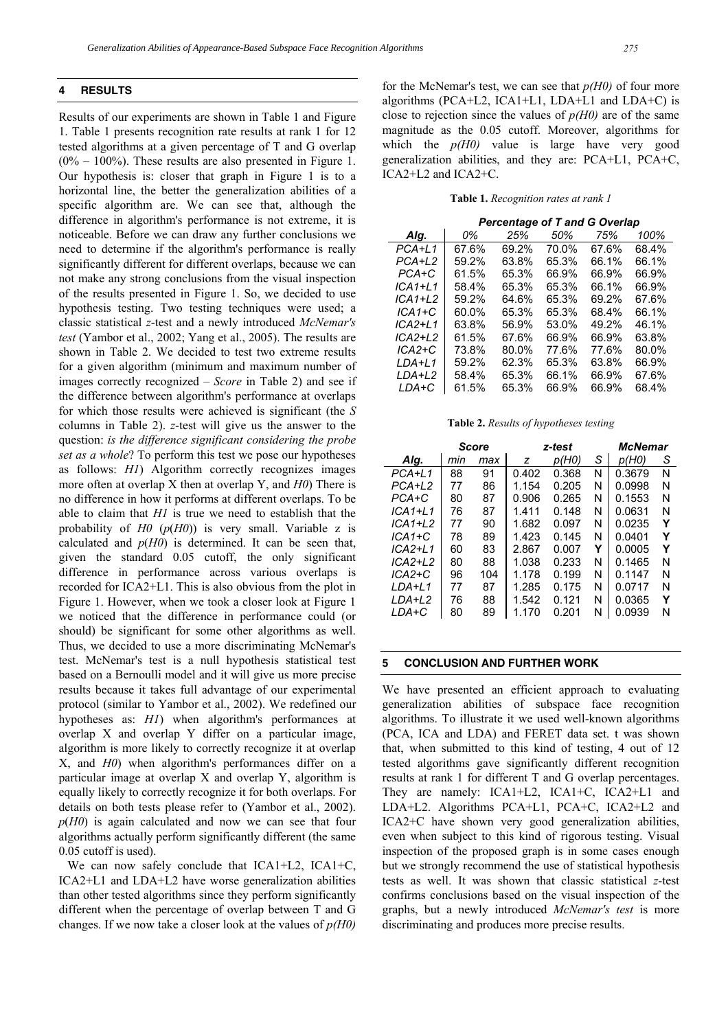Results of our experiments are shown in Table 1 and Figure 1. Table 1 presents recognition rate results at rank 1 for 12 tested algorithms at a given percentage of T and G overlap  $(0\% - 100\%)$ . These results are also presented in Figure 1. Our hypothesis is: closer that graph in Figure 1 is to a horizontal line, the better the generalization abilities of a specific algorithm are. We can see that, although the difference in algorithm's performance is not extreme, it is noticeable. Before we can draw any further conclusions we need to determine if the algorithm's performance is really significantly different for different overlaps, because we can not make any strong conclusions from the visual inspection of the results presented in Figure 1. So, we decided to use hypothesis testing. Two testing techniques were used; a classic statistical *z*-test and a newly introduced *McNemar's test* (Yambor et al., 2002; Yang et al., 2005). The results are shown in Table 2. We decided to test two extreme results for a given algorithm (minimum and maximum number of images correctly recognized – *Score* in Table 2) and see if the difference between algorithm's performance at overlaps for which those results were achieved is significant (the *S* columns in Table 2). *z*-test will give us the answer to the question: *is the difference significant considering the probe set as a whole*? To perform this test we pose our hypotheses as follows: *H1*) Algorithm correctly recognizes images more often at overlap X then at overlap Y, and *H0*) There is no difference in how it performs at different overlaps. To be able to claim that *H1* is true we need to establish that the probability of *H0* (*p*(*H0*)) is very small. Variable z is calculated and  $p(H0)$  is determined. It can be seen that, given the standard 0.05 cutoff, the only significant difference in performance across various overlaps is recorded for ICA2+L1. This is also obvious from the plot in Figure 1. However, when we took a closer look at Figure 1 we noticed that the difference in performance could (or should) be significant for some other algorithms as well. Thus, we decided to use a more discriminating McNemar's test. McNemar's test is a null hypothesis statistical test based on a Bernoulli model and it will give us more precise results because it takes full advantage of our experimental protocol (similar to Yambor et al., 2002). We redefined our hypotheses as: *H1*) when algorithm's performances at overlap X and overlap Y differ on a particular image, algorithm is more likely to correctly recognize it at overlap X, and *H0*) when algorithm's performances differ on a particular image at overlap X and overlap Y, algorithm is equally likely to correctly recognize it for both overlaps. For details on both tests please refer to (Yambor et al., 2002). *p*(*H0*) is again calculated and now we can see that four algorithms actually perform significantly different (the same 0.05 cutoff is used).

We can now safely conclude that ICA1+L2, ICA1+C, ICA2+L1 and LDA+L2 have worse generalization abilities than other tested algorithms since they perform significantly different when the percentage of overlap between T and G changes. If we now take a closer look at the values of *p(H0)* for the McNemar's test, we can see that *p(H0)* of four more algorithms (PCA+L2, ICA1+L1, LDA+L1 and LDA+C) is close to rejection since the values of  $p(H0)$  are of the same magnitude as the 0.05 cutoff. Moreover, algorithms for which the *p(H0)* value is large have very good generalization abilities, and they are: PCA+L1, PCA+C, ICA2+L2 and ICA2+C.

**Table 1.** *Recognition rates at rank 1*

|           | <b>Percentage of T and G Overlap</b> |       |       |       |       |  |  |  |  |
|-----------|--------------------------------------|-------|-------|-------|-------|--|--|--|--|
| Alg.      | 0%                                   | 25%   | 50%   | 75%   | 100%  |  |  |  |  |
| PCA+L1    | 67.6%                                | 69.2% | 70.0% | 67.6% | 68.4% |  |  |  |  |
| PCA+L2    | 59.2%                                | 63.8% | 65.3% | 66.1% | 66.1% |  |  |  |  |
| $PCA+C$   | 61.5%                                | 65.3% | 66.9% | 66.9% | 66.9% |  |  |  |  |
| $ICA1+L1$ | 58.4%                                | 65.3% | 65.3% | 66.1% | 66.9% |  |  |  |  |
| $ICA1+L2$ | 59.2%                                | 64.6% | 65.3% | 69.2% | 67.6% |  |  |  |  |
| $ICA1+C$  | 60.0%                                | 65.3% | 65.3% | 68.4% | 66.1% |  |  |  |  |
| ICA2+L1   | 63.8%                                | 56.9% | 53.0% | 49.2% | 46.1% |  |  |  |  |
| ICA2+L2   | 61.5%                                | 67.6% | 66.9% | 66.9% | 63.8% |  |  |  |  |
| $ICA2+C$  | 73.8%                                | 80.0% | 77.6% | 77.6% | 80.0% |  |  |  |  |
| $LDA+L1$  | 59.2%                                | 62.3% | 65.3% | 63.8% | 66.9% |  |  |  |  |
| LDA+L2    | 58.4%                                | 65.3% | 66.1% | 66.9% | 67.6% |  |  |  |  |
| LDA+C     | 61.5%                                | 65.3% | 66.9% | 66.9% | 68.4% |  |  |  |  |

**Table 2.** *Results of hypotheses testing*

|           | <b>Score</b> |     | z-test |       |   | <b>McNemar</b> |   |
|-----------|--------------|-----|--------|-------|---|----------------|---|
| Alg.      | mın          | max | z      | p(H0) | S | p(H0)          | S |
| $PCA+L1$  | 88           | 91  | 0.402  | 0.368 | N | 0.3679         | N |
| PCA+L2    | 77           | 86  | 1.154  | 0.205 | N | 0.0998         | N |
| PCA+C     | 80           | 87  | 0.906  | 0.265 | N | 0.1553         | N |
| $ICA1+L1$ | 76           | 87  | 1.411  | 0.148 | N | 0.0631         | N |
| $ICA1+L2$ | 77           | 90  | 1.682  | 0.097 | N | 0.0235         | Y |
| $ICA1+C$  | 78           | 89  | 1.423  | 0.145 | N | 0.0401         | Y |
| $ICA2+L1$ | 60           | 83  | 2.867  | 0.007 | Y | 0.0005         | Y |
| $ICA2+L2$ | 80           | 88  | 1.038  | 0.233 | N | 0.1465         | N |
| $ICA2+C$  | 96           | 104 | 1.178  | 0.199 | N | 0.1147         | N |
| LDA+L1    | 77           | 87  | 1.285  | 0.175 | N | 0.0717         | N |
| $LDA+L2$  | 76           | 88  | 1.542  | 0.121 | N | 0.0365         | Y |
| LDA+C     | 80           | 89  | 1.170  | 0.201 | N | 0.0939         | N |

#### **5 CONCLUSION AND FURTHER WORK**

We have presented an efficient approach to evaluating generalization abilities of subspace face recognition algorithms. To illustrate it we used well-known algorithms (PCA, ICA and LDA) and FERET data set. t was shown that, when submitted to this kind of testing, 4 out of 12 tested algorithms gave significantly different recognition results at rank 1 for different T and G overlap percentages. They are namely: ICA1+L2, ICA1+C, ICA2+L1 and LDA+L2. Algorithms PCA+L1, PCA+C, ICA2+L2 and ICA2+C have shown very good generalization abilities, even when subject to this kind of rigorous testing. Visual inspection of the proposed graph is in some cases enough but we strongly recommend the use of statistical hypothesis tests as well. It was shown that classic statistical *z*-test confirms conclusions based on the visual inspection of the graphs, but a newly introduced *McNemar's test* is more discriminating and produces more precise results.